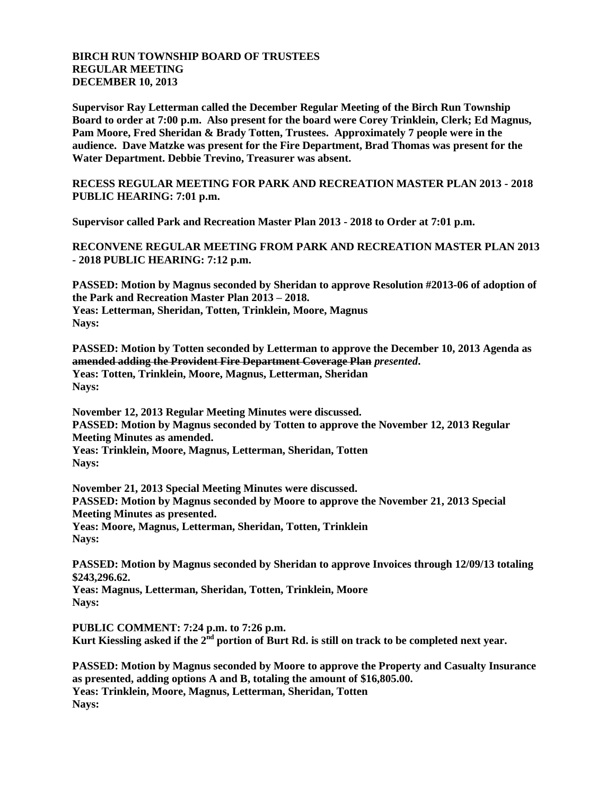## **BIRCH RUN TOWNSHIP BOARD OF TRUSTEES REGULAR MEETING DECEMBER 10, 2013**

**Supervisor Ray Letterman called the December Regular Meeting of the Birch Run Township Board to order at 7:00 p.m. Also present for the board were Corey Trinklein, Clerk; Ed Magnus, Pam Moore, Fred Sheridan & Brady Totten, Trustees. Approximately 7 people were in the audience. Dave Matzke was present for the Fire Department, Brad Thomas was present for the Water Department. Debbie Trevino, Treasurer was absent.**

**RECESS REGULAR MEETING FOR PARK AND RECREATION MASTER PLAN 2013 - 2018 PUBLIC HEARING: 7:01 p.m.**

**Supervisor called Park and Recreation Master Plan 2013 - 2018 to Order at 7:01 p.m.**

**RECONVENE REGULAR MEETING FROM PARK AND RECREATION MASTER PLAN 2013 - 2018 PUBLIC HEARING: 7:12 p.m.**

**PASSED: Motion by Magnus seconded by Sheridan to approve Resolution #2013-06 of adoption of the Park and Recreation Master Plan 2013 – 2018. Yeas: Letterman, Sheridan, Totten, Trinklein, Moore, Magnus Nays:**

**PASSED: Motion by Totten seconded by Letterman to approve the December 10, 2013 Agenda as amended adding the Provident Fire Department Coverage Plan** *presented***. Yeas: Totten, Trinklein, Moore, Magnus, Letterman, Sheridan Nays:**

**November 12, 2013 Regular Meeting Minutes were discussed. PASSED: Motion by Magnus seconded by Totten to approve the November 12, 2013 Regular Meeting Minutes as amended. Yeas: Trinklein, Moore, Magnus, Letterman, Sheridan, Totten Nays:**

**November 21, 2013 Special Meeting Minutes were discussed. PASSED: Motion by Magnus seconded by Moore to approve the November 21, 2013 Special Meeting Minutes as presented. Yeas: Moore, Magnus, Letterman, Sheridan, Totten, Trinklein Nays:**

**PASSED: Motion by Magnus seconded by Sheridan to approve Invoices through 12/09/13 totaling \$243,296.62. Yeas: Magnus, Letterman, Sheridan, Totten, Trinklein, Moore Nays:**

**PUBLIC COMMENT: 7:24 p.m. to 7:26 p.m.** Kurt Kiessling asked if the 2<sup>nd</sup> portion of Burt Rd. is still on track to be completed next vear.

**PASSED: Motion by Magnus seconded by Moore to approve the Property and Casualty Insurance as presented, adding options A and B, totaling the amount of \$16,805.00. Yeas: Trinklein, Moore, Magnus, Letterman, Sheridan, Totten Nays:**